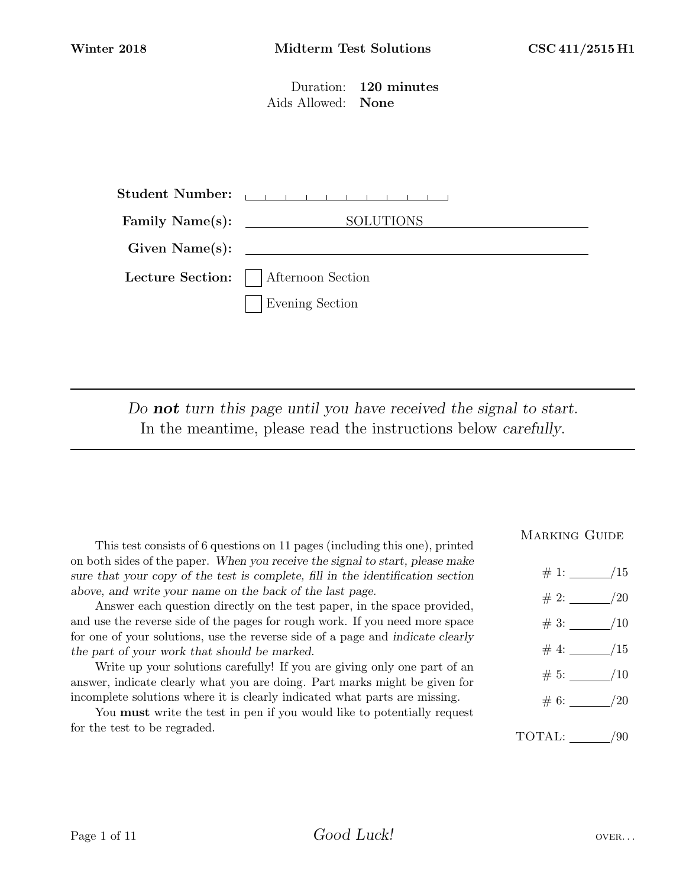Duration: 120 minutes Aids Allowed: None

| <b>Student Number:</b> | and the contract of the contract of the con- |  |  |
|------------------------|----------------------------------------------|--|--|
| Family $Name(s)$ :     | <b>SOLUTIONS</b>                             |  |  |
| Given Name(s):         |                                              |  |  |
|                        | Lecture Section:     Afternoon Section       |  |  |
|                        | <b>Evening Section</b>                       |  |  |

Do not turn this page until you have received the signal to start. In the meantime, please read the instructions below carefully.

This test consists of 6 questions on 11 pages (including this one), printed on both sides of the paper. When you receive the signal to start, please make sure that your copy of the test is complete, fill in the identification section above, and write your name on the back of the last page.

Answer each question directly on the test paper, in the space provided, and use the reverse side of the pages for rough work. If you need more space for one of your solutions, use the reverse side of a page and indicate clearly the part of your work that should be marked.

Write up your solutions carefully! If you are giving only one part of an answer, indicate clearly what you are doing. Part marks might be given for incomplete solutions where it is clearly indicated what parts are missing.

You must write the test in pen if you would like to potentially request for the test to be regraded.

# MARKING GUIDE

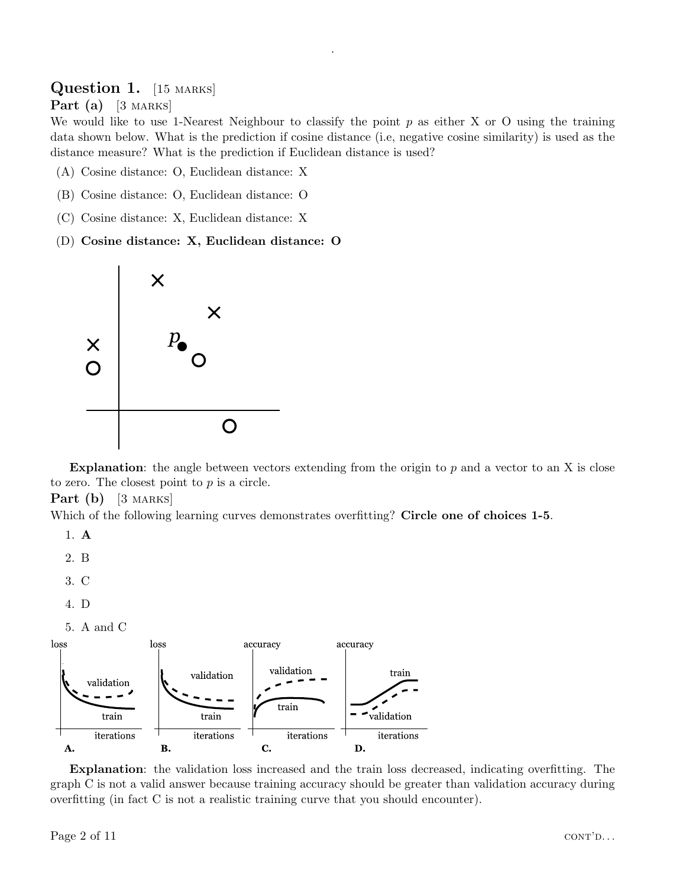# Question 1. [15 MARKS]

# Part  $(a)$  [3 MARKS]

We would like to use 1-Nearest Neighbour to classify the point  $p$  as either X or O using the training data shown below. What is the prediction if cosine distance (i.e, negative cosine similarity) is used as the distance measure? What is the prediction if Euclidean distance is used?

.

- (A) Cosine distance: O, Euclidean distance: X
- (B) Cosine distance: O, Euclidean distance: O
- (C) Cosine distance: X, Euclidean distance: X
- (D) Cosine distance: X, Euclidean distance: O



Explanation: the angle between vectors extending from the origin to  $p$  and a vector to an X is close to zero. The closest point to  $p$  is a circle.

**Part** (b)  $[3 \text{ Marks}]$ 

Which of the following learning curves demonstrates overfitting? Circle one of choices 1-5.

- 1. A
- 2. B
- 3. C
- 4. D
- 5. A and C



Explanation: the validation loss increased and the train loss decreased, indicating overfitting. The graph C is not a valid answer because training accuracy should be greater than validation accuracy during overfitting (in fact C is not a realistic training curve that you should encounter).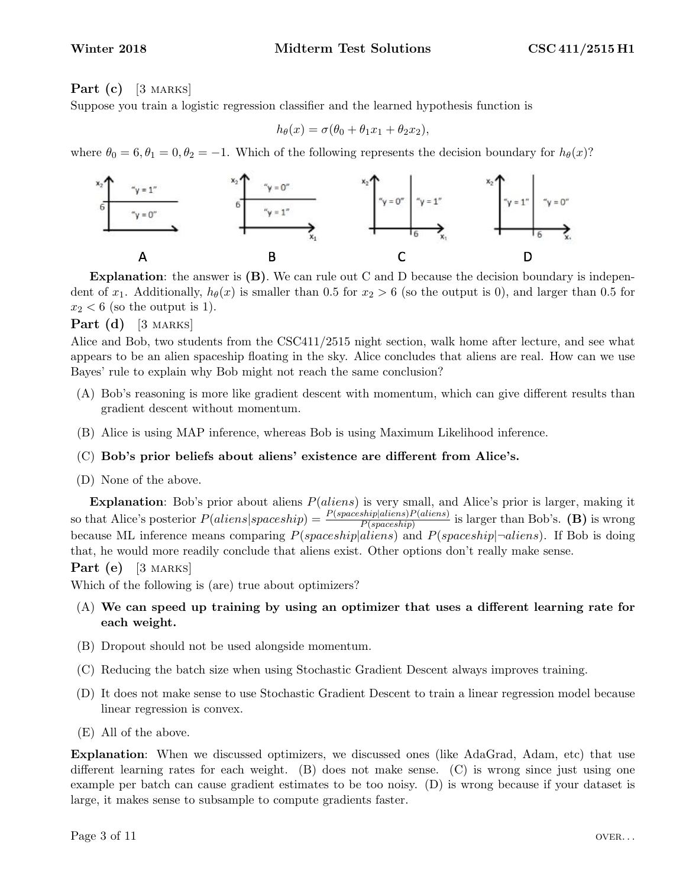# **Part** (c) [3 MARKS]

Suppose you train a logistic regression classifier and the learned hypothesis function is

$$
h_{\theta}(x) = \sigma(\theta_0 + \theta_1 x_1 + \theta_2 x_2),
$$

where  $\theta_0 = 6, \theta_1 = 0, \theta_2 = -1$ . Which of the following represents the decision boundary for  $h_\theta(x)$ ?



**Explanation:** the answer is  $(B)$ . We can rule out C and D because the decision boundary is independent of  $x_1$ . Additionally,  $h_\theta(x)$  is smaller than 0.5 for  $x_2 > 6$  (so the output is 0), and larger than 0.5 for  $x_2 < 6$  (so the output is 1).

# **Part** (d) [3 MARKS]

Alice and Bob, two students from the CSC411/2515 night section, walk home after lecture, and see what appears to be an alien spaceship floating in the sky. Alice concludes that aliens are real. How can we use Bayes' rule to explain why Bob might not reach the same conclusion?

- (A) Bob's reasoning is more like gradient descent with momentum, which can give different results than gradient descent without momentum.
- (B) Alice is using MAP inference, whereas Bob is using Maximum Likelihood inference.

### (C) Bob's prior beliefs about aliens' existence are different from Alice's.

(D) None of the above.

Explanation: Bob's prior about aliens  $P(aliens)$  is very small, and Alice's prior is larger, making it so that Alice's posterior  $P(aliens|spaceship) = \frac{P(spaceship|aliens)P(aliens)}{P(spaceship)}$  is larger than Bob's. (B) is wrong because ML inference means comparing  $P(spaceship|aliens)$  and  $P(spaceship|\neg aliens)$ . If Bob is doing that, he would more readily conclude that aliens exist. Other options don't really make sense.

Part  $(e)$  [3 MARKS]

Which of the following is (are) true about optimizers?

- (A) We can speed up training by using an optimizer that uses a different learning rate for each weight.
- (B) Dropout should not be used alongside momentum.
- (C) Reducing the batch size when using Stochastic Gradient Descent always improves training.
- (D) It does not make sense to use Stochastic Gradient Descent to train a linear regression model because linear regression is convex.
- (E) All of the above.

Explanation: When we discussed optimizers, we discussed ones (like AdaGrad, Adam, etc) that use different learning rates for each weight. (B) does not make sense. (C) is wrong since just using one example per batch can cause gradient estimates to be too noisy. (D) is wrong because if your dataset is large, it makes sense to subsample to compute gradients faster.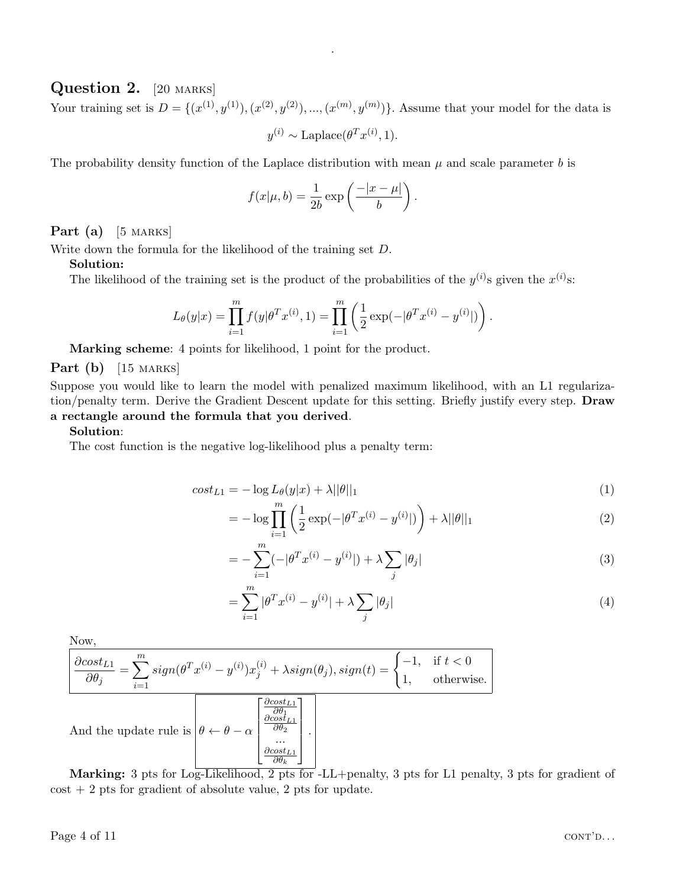# Question 2. [20 MARKS]

Your training set is  $D = \{ (x^{(1)}, y^{(1)}), (x^{(2)}, y^{(2)}), ..., (x^{(m)}, y^{(m)}) \}$ . Assume that your model for the data is

.

 $y^{(i)} \sim \text{Laplace}(\theta^T x^{(i)}, 1).$ 

The probability density function of the Laplace distribution with mean  $\mu$  and scale parameter b is

$$
f(x|\mu, b) = \frac{1}{2b} \exp\left(\frac{-|x-\mu|}{b}\right).
$$

Part (a)  $[5$  MARKS

Write down the formula for the likelihood of the training set D.

#### Solution:

The likelihood of the training set is the product of the probabilities of the  $y^{(i)}$ s given the  $x^{(i)}$ s:

$$
L_{\theta}(y|x) = \prod_{i=1}^{m} f(y|\theta^{T}x^{(i)}, 1) = \prod_{i=1}^{m} \left( \frac{1}{2} \exp(-|\theta^{T}x^{(i)} - y^{(i)}|) \right).
$$

Marking scheme: 4 points for likelihood, 1 point for the product.

**Part** (b)  $[15$  MARKS]

Suppose you would like to learn the model with penalized maximum likelihood, with an L1 regularization/penalty term. Derive the Gradient Descent update for this setting. Briefly justify every step. Draw a rectangle around the formula that you derived.

#### Solution:

The cost function is the negative log-likelihood plus a penalty term:

$$
cost_{L1} = -\log L_{\theta}(y|x) + \lambda ||\theta||_1
$$
\n(1)

$$
= -\log \prod_{i=1}^{m} \left( \frac{1}{2} \exp(-|\theta^T x^{(i)} - y^{(i)}|) \right) + \lambda ||\theta||_1 \tag{2}
$$

$$
= -\sum_{i=1}^{m} (-|\theta^T x^{(i)} - y^{(i)}|) + \lambda \sum_{j} |\theta_j|
$$
\n(3)

$$
= \sum_{i=1}^{m} |\theta^T x^{(i)} - y^{(i)}| + \lambda \sum_{j} |\theta_j| \tag{4}
$$

Now,

$$
\frac{\partial \text{cost}_{L1}}{\partial \theta_j} = \sum_{i=1}^m \text{sign}(\theta^T x^{(i)} - y^{(i)}) x_j^{(i)} + \lambda \text{sign}(\theta_j), \text{sign}(t) = \begin{cases} -1, & \text{if } t < 0 \\ 1, & \text{otherwise.} \end{cases}
$$
\nAnd the update rule is

\n
$$
\theta \leftarrow \theta - \alpha \begin{bmatrix} \frac{\partial \text{cost}_{L1}}{\partial \theta_1} \\ \frac{\partial \text{cost}_{L1}}{\partial \theta_2} \\ \frac{\partial \text{cost}_{L1}}{\partial \theta_k} \end{bmatrix}.
$$

Marking: 3 pts for Log-Likelihood, 2 pts for -LL+penalty, 3 pts for L1 penalty, 3 pts for gradient of  $\cos t + 2$  pts for gradient of absolute value, 2 pts for update.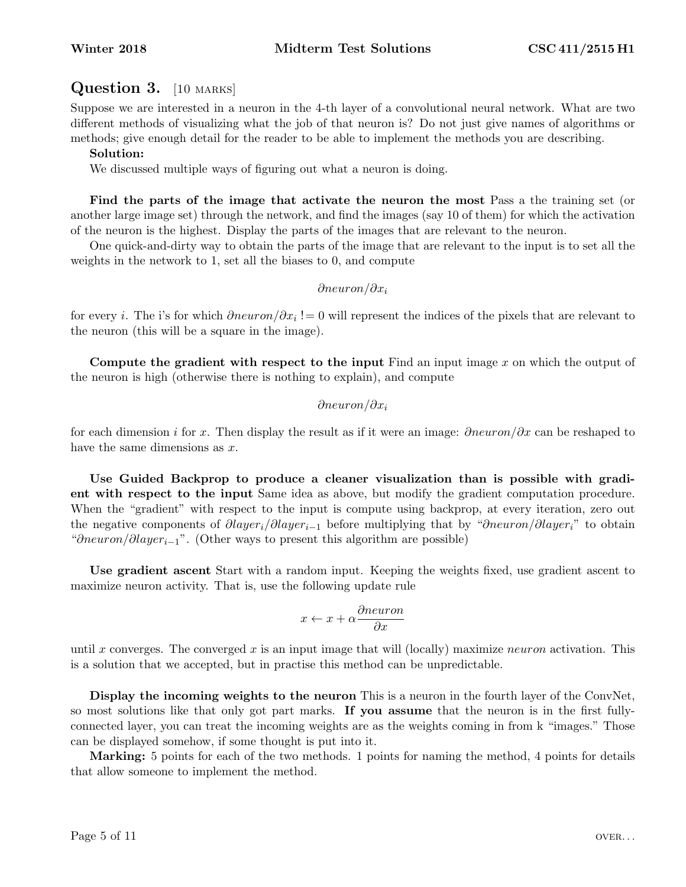# Question 3. [10 MARKS]

Suppose we are interested in a neuron in the 4-th layer of a convolutional neural network. What are two different methods of visualizing what the job of that neuron is? Do not just give names of algorithms or methods; give enough detail for the reader to be able to implement the methods you are describing.

# Solution:

We discussed multiple ways of figuring out what a neuron is doing.

Find the parts of the image that activate the neuron the most Pass a the training set (or another large image set) through the network, and find the images (say 10 of them) for which the activation of the neuron is the highest. Display the parts of the images that are relevant to the neuron.

One quick-and-dirty way to obtain the parts of the image that are relevant to the input is to set all the weights in the network to 1, set all the biases to 0, and compute

# ∂neuron/∂x<sup>i</sup>

for every *i*. The i's for which  $\partial neuron/\partial x_i := 0$  will represent the indices of the pixels that are relevant to the neuron (this will be a square in the image).

Compute the gradient with respect to the input Find an input image  $x$  on which the output of the neuron is high (otherwise there is nothing to explain), and compute

# ∂neuron/∂ $x_i$

for each dimension i for x. Then display the result as if it were an image:  $\partial neuron/\partial x$  can be reshaped to have the same dimensions as  $x$ .

Use Guided Backprop to produce a cleaner visualization than is possible with gradient with respect to the input Same idea as above, but modify the gradient computation procedure. When the "gradient" with respect to the input is compute using backprop, at every iteration, zero out the negative components of  $\partial layer_i/\partial layer_{i-1}$  before multiplying that by " $\partial neuron/\partial layer_i$ " to obtain "∂neuron/∂layer<sub>i-1</sub>". (Other ways to present this algorithm are possible)

Use gradient ascent Start with a random input. Keeping the weights fixed, use gradient ascent to maximize neuron activity. That is, use the following update rule

$$
x \leftarrow x + \alpha \frac{\partial neuron}{\partial x}
$$

until x converges. The converged x is an input image that will (locally) maximize neuron activation. This is a solution that we accepted, but in practise this method can be unpredictable.

Display the incoming weights to the neuron This is a neuron in the fourth layer of the ConvNet, so most solutions like that only got part marks. If you assume that the neuron is in the first fullyconnected layer, you can treat the incoming weights are as the weights coming in from k "images." Those can be displayed somehow, if some thought is put into it.

Marking: 5 points for each of the two methods. 1 points for naming the method, 4 points for details that allow someone to implement the method.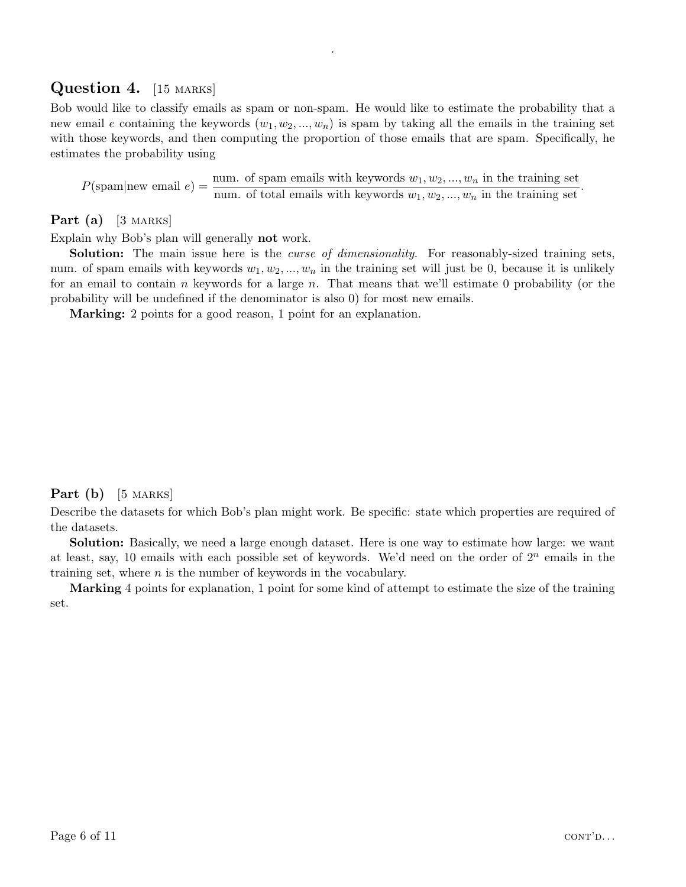# Question 4. [15 MARKS]

Bob would like to classify emails as spam or non-spam. He would like to estimate the probability that a new email e containing the keywords  $(w_1, w_2, ..., w_n)$  is spam by taking all the emails in the training set with those keywords, and then computing the proportion of those emails that are spam. Specifically, he estimates the probability using

.

 $P(\text{spam}|\text{new email } e) = \frac{\text{num. of spam emails with keywords } w_1, w_2, ..., w_n \text{ in the training set}}{\text{num. of total emails with keywords } w_1, w_2, ..., w_n \text{ in the training set}}.$ 

# Part (a)  $[3 \text{ Marks}]$

Explain why Bob's plan will generally not work.

**Solution:** The main issue here is the *curse of dimensionality*. For reasonably-sized training sets, num. of spam emails with keywords  $w_1, w_2, ..., w_n$  in the training set will just be 0, because it is unlikely for an email to contain n keywords for a large n. That means that we'll estimate 0 probability (or the probability will be undefined if the denominator is also 0) for most new emails.

Marking: 2 points for a good reason, 1 point for an explanation.

# Part  $(b)$  [5 MARKS]

Describe the datasets for which Bob's plan might work. Be specific: state which properties are required of the datasets.

Solution: Basically, we need a large enough dataset. Here is one way to estimate how large: we want at least, say, 10 emails with each possible set of keywords. We'd need on the order of  $2^n$  emails in the training set, where n is the number of keywords in the vocabulary.

Marking 4 points for explanation, 1 point for some kind of attempt to estimate the size of the training set.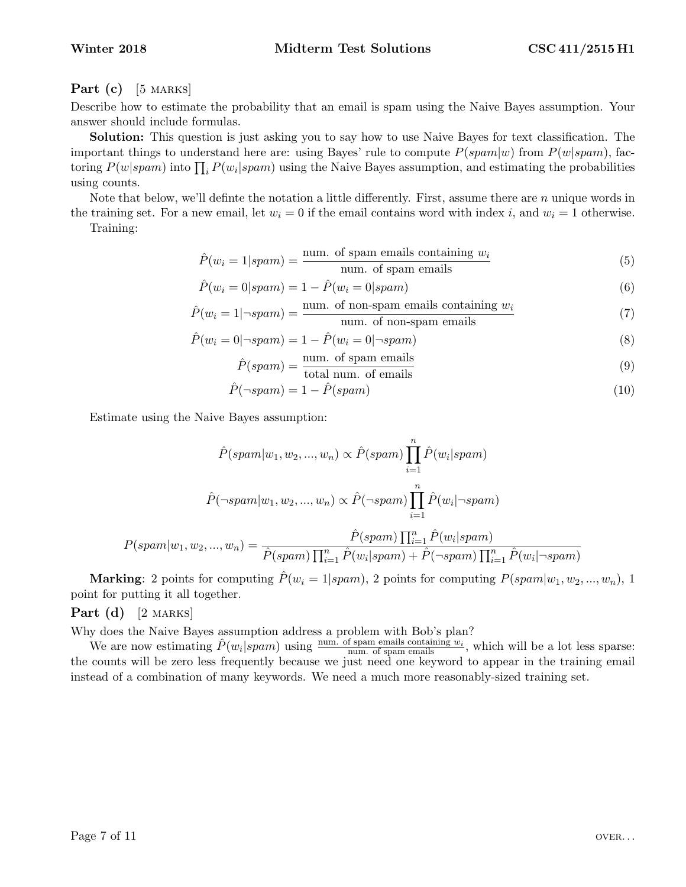# **Part** (c) [5 MARKS]

Describe how to estimate the probability that an email is spam using the Naive Bayes assumption. Your answer should include formulas.

Solution: This question is just asking you to say how to use Naive Bayes for text classification. The important things to understand here are: using Bayes' rule to compute  $P(spam|w)$  from  $P(w|spam)$ , factoring  $P(w|spam)$  into  $\prod_i P(w_i|spam)$  using the Naive Bayes assumption, and estimating the probabilities using counts.

Note that below, we'll definte the notation a little differently. First, assume there are  $n$  unique words in the training set. For a new email, let  $w_i = 0$  if the email contains word with index i, and  $w_i = 1$  otherwise.

Training:

$$
\hat{P}(w_i = 1 | spam) = \frac{\text{num. of spam emails containing } w_i}{\text{num. of spam emails}} \tag{5}
$$

$$
\hat{P}(w_i = 0 | spam) = 1 - \hat{P}(w_i = 0 | spam)
$$
\n(6)

$$
\hat{P}(w_i = 1 | \neg spam) = \frac{\text{num. of non-spam emails containing } w_i}{\text{num. of non-spam emails}} \tag{7}
$$

$$
\hat{P}(w_i = 0 | \neg spam) = 1 - \hat{P}(w_i = 0 | \neg spam)
$$
\n(8)

$$
\hat{P}(spam) = \frac{\text{num. of spam emails}}{\text{(9)}}
$$

$$
P(spam) = \frac{\text{num. or span of the image}}{\text{total num. of emails}}\tag{9}
$$

$$
\hat{P}(\neg spam) = 1 - \hat{P}(spam) \tag{10}
$$

Estimate using the Naive Bayes assumption:

$$
\hat{P}(spam|w_1, w_2, ..., w_n) \propto \hat{P}(spam) \prod_{i=1}^n \hat{P}(w_i|spam)
$$

$$
\hat{P}(\neg spam|w_1, w_2, ..., w_n) \propto \hat{P}(\neg spam) \prod_{i=1}^n \hat{P}(w_i|\neg spam)
$$

$$
P(spam|w_1, w_2, ..., w_n) = \frac{\hat{P}(spam) \prod_{i=1}^n \hat{P}(w_i|spam)}{\hat{P}(spam) \prod_{i=1}^n \hat{P}(w_i|spam) + \hat{P}(\neg spam) \prod_{i=1}^n \hat{P}(w_i|\neg spam)}
$$

**Marking:** 2 points for computing  $\hat{P}(w_i = 1|spam)$ , 2 points for computing  $P(spam|w_1, w_2, ..., w_n)$ , 1 point for putting it all together.

**Part** (d)  $[2$  MARKS

Why does the Naive Bayes assumption address a problem with Bob's plan?

We are now estimating  $\hat{P}(w_i|spam)$  using  $\frac{num. \text{ of spam emails containing } w_i}{num. \text{ of spam emails}}$ , which will be a lot less sparse: the counts will be zero less frequently because we just need one keyword to appear in the training email instead of a combination of many keywords. We need a much more reasonably-sized training set.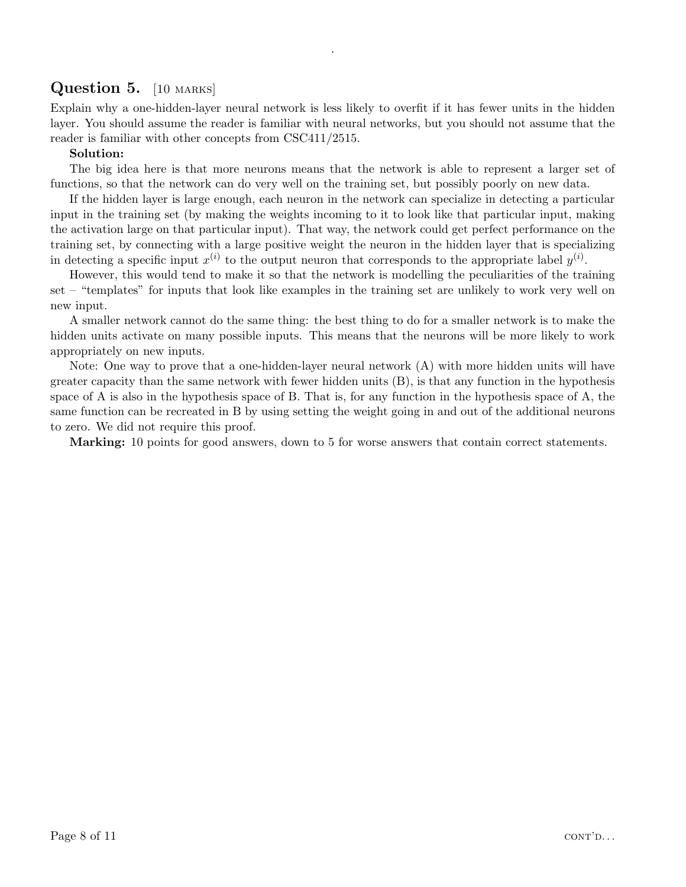# Question 5. [10 MARKS]

Explain why a one-hidden-layer neural network is less likely to overfit if it has fewer units in the hidden layer. You should assume the reader is familiar with neural networks, but you should not assume that the reader is familiar with other concepts from CSC411/2515.

.

# Solution:

The big idea here is that more neurons means that the network is able to represent a larger set of functions, so that the network can do very well on the training set, but possibly poorly on new data.

If the hidden layer is large enough, each neuron in the network can specialize in detecting a particular input in the training set (by making the weights incoming to it to look like that particular input, making the activation large on that particular input). That way, the network could get perfect performance on the training set, by connecting with a large positive weight the neuron in the hidden layer that is specializing in detecting a specific input  $x^{(i)}$  to the output neuron that corresponds to the appropriate label  $y^{(i)}$ .

However, this would tend to make it so that the network is modelling the peculiarities of the training set – "templates" for inputs that look like examples in the training set are unlikely to work very well on new input.

A smaller network cannot do the same thing: the best thing to do for a smaller network is to make the hidden units activate on many possible inputs. This means that the neurons will be more likely to work appropriately on new inputs.

Note: One way to prove that a one-hidden-layer neural network (A) with more hidden units will have greater capacity than the same network with fewer hidden units (B), is that any function in the hypothesis space of A is also in the hypothesis space of B. That is, for any function in the hypothesis space of A, the same function can be recreated in B by using setting the weight going in and out of the additional neurons to zero. We did not require this proof.

Marking: 10 points for good answers, down to 5 for worse answers that contain correct statements.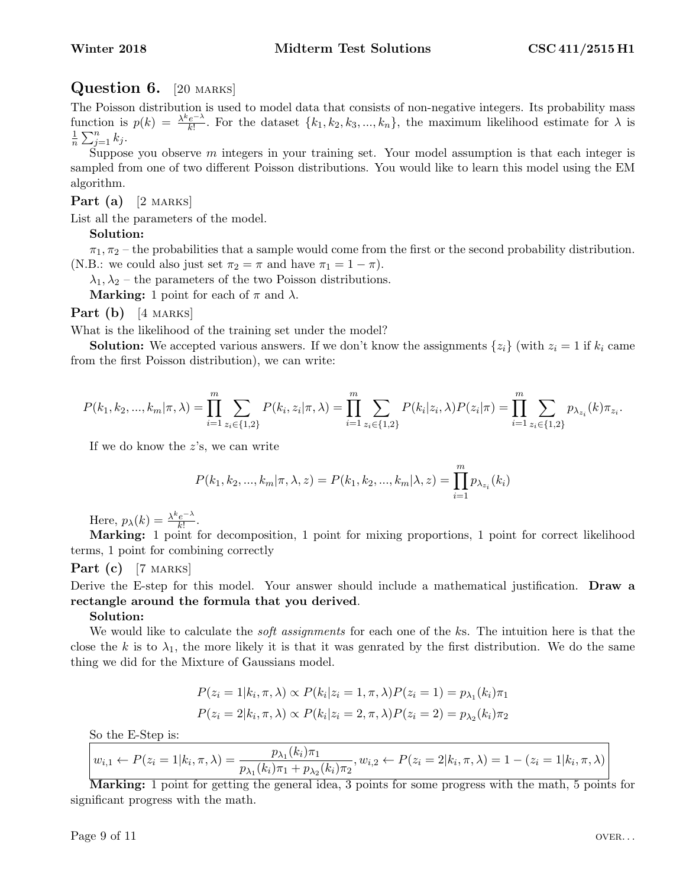# Question 6. [20 MARKS]

The Poisson distribution is used to model data that consists of non-negative integers. Its probability mass function is  $p(k) = \frac{\lambda^k e^{-\lambda}}{k!}$  $\frac{e^{-\lambda}}{k!}$ . For the dataset  $\{k_1, k_2, k_3, ..., k_n\}$ , the maximum likelihood estimate for  $\lambda$  is 1  $\frac{1}{n}\sum_{j=1}^n k_j.$ 

Suppose you observe  $m$  integers in your training set. Your model assumption is that each integer is sampled from one of two different Poisson distributions. You would like to learn this model using the EM algorithm.

# **Part** (a)  $[2$  MARKS

List all the parameters of the model.

# Solution:

 $\pi_1, \pi_2$  – the probabilities that a sample would come from the first or the second probability distribution. (N.B.: we could also just set  $\pi_2 = \pi$  and have  $\pi_1 = 1 - \pi$ ).

 $\lambda_1, \lambda_2$  – the parameters of the two Poisson distributions.

**Marking:** 1 point for each of  $\pi$  and  $\lambda$ .

**Part**  $(b)$  [4 MARKS]

What is the likelihood of the training set under the model?

**Solution:** We accepted various answers. If we don't know the assignments  $\{z_i\}$  (with  $z_i = 1$  if  $k_i$  came from the first Poisson distribution), we can write:

$$
P(k_1, k_2, ..., k_m | \pi, \lambda) = \prod_{i=1}^m \sum_{z_i \in \{1,2\}} P(k_i, z_i | \pi, \lambda) = \prod_{i=1}^m \sum_{z_i \in \{1,2\}} P(k_i | z_i, \lambda) P(z_i | \pi) = \prod_{i=1}^m \sum_{z_i \in \{1,2\}} p_{\lambda_{z_i}}(k) \pi_{z_i}.
$$

If we do know the z's, we can write

$$
P(k_1, k_2, ..., k_m | \pi, \lambda, z) = P(k_1, k_2, ..., k_m | \lambda, z) = \prod_{i=1}^m p_{\lambda_{z_i}}(k_i)
$$

Here,  $p_{\lambda}(k) = \frac{\lambda^k e^{-\lambda}}{k!}$  $\frac{e^{-\lambda}}{k!}$ .

Marking: 1 point for decomposition, 1 point for mixing proportions, 1 point for correct likelihood terms, 1 point for combining correctly

### Part  $(c)$  [7 MARKS]

Derive the E-step for this model. Your answer should include a mathematical justification. **Draw a** rectangle around the formula that you derived.

### Solution:

We would like to calculate the *soft assignments* for each one of the ks. The intuition here is that the close the k is to  $\lambda_1$ , the more likely it is that it was genrated by the first distribution. We do the same thing we did for the Mixture of Gaussians model.

$$
P(z_i = 1|k_i, \pi, \lambda) \propto P(k_i|z_i = 1, \pi, \lambda)P(z_i = 1) = p_{\lambda_1}(k_i)\pi_1
$$
  

$$
P(z_i = 2|k_i, \pi, \lambda) \propto P(k_i|z_i = 2, \pi, \lambda)P(z_i = 2) = p_{\lambda_2}(k_i)\pi_2
$$

So the E-Step is:

$$
w_{i,1} \leftarrow P(z_i = 1 | k_i, \pi, \lambda) = \frac{p_{\lambda_1}(k_i)\pi_1}{p_{\lambda_1}(k_i)\pi_1 + p_{\lambda_2}(k_i)\pi_2}, w_{i,2} \leftarrow P(z_i = 2 | k_i, \pi, \lambda) = 1 - (z_i = 1 | k_i, \pi, \lambda)
$$

Marking: 1 point for getting the general idea, 3 points for some progress with the math, 5 points for significant progress with the math.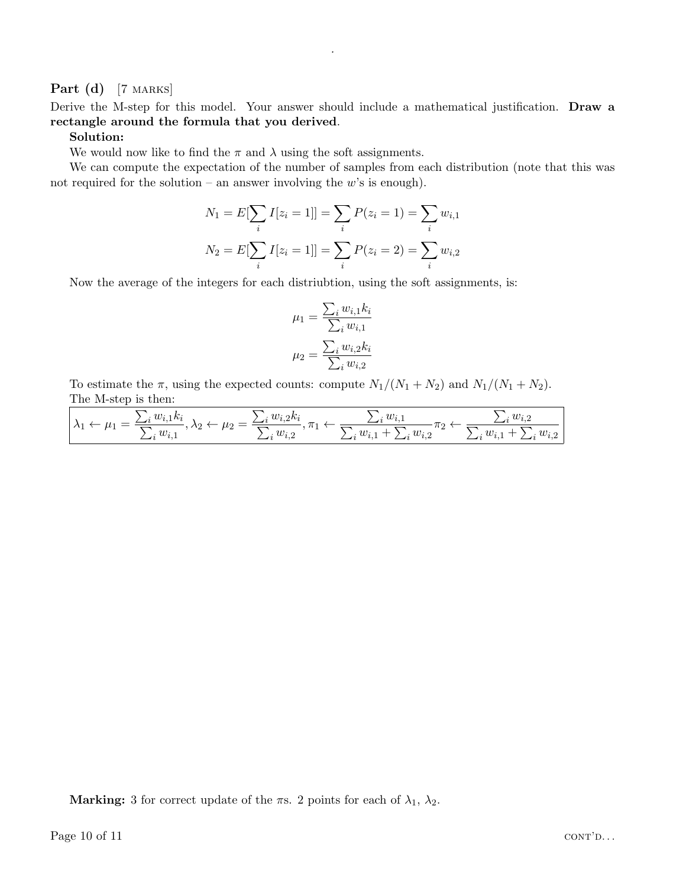# Part (d) [7 MARKS]

Derive the M-step for this model. Your answer should include a mathematical justification. Draw a rectangle around the formula that you derived.

.

#### Solution:

We would now like to find the  $\pi$  and  $\lambda$  using the soft assignments.

We can compute the expectation of the number of samples from each distribution (note that this was not required for the solution – an answer involving the  $w$ 's is enough).

$$
N_1 = E[\sum_i I[z_i = 1]] = \sum_i P(z_i = 1) = \sum_i w_{i,1}
$$

$$
N_2 = E[\sum_i I[z_i = 1]] = \sum_i P(z_i = 2) = \sum_i w_{i,2}
$$

Now the average of the integers for each distriubtion, using the soft assignments, is:

$$
\mu_1 = \frac{\sum_i w_{i,1} k_i}{\sum_i w_{i,1}}
$$

$$
\mu_2 = \frac{\sum_i w_{i,2} k_i}{\sum_i w_{i,2}}
$$

To estimate the  $\pi$ , using the expected counts: compute  $N_1/(N_1 + N_2)$  and  $N_1/(N_1 + N_2)$ . The M-step is then:

| $w_i$ | $\mu$              |                    | w                                           | $\sim$ $\sim$                  |
|-------|--------------------|--------------------|---------------------------------------------|--------------------------------|
|       | <u>່ ⁄\∠</u><br>บร | .<br><b>.</b><br>W | $\cdot$ $\cdot$<br>$\cdot w_i$<br>$w_{i,2}$ | 0.11<br>$w_i$<br><u>.</u><br>. |

**Marking:** 3 for correct update of the  $\pi$ s. 2 points for each of  $\lambda_1$ ,  $\lambda_2$ .